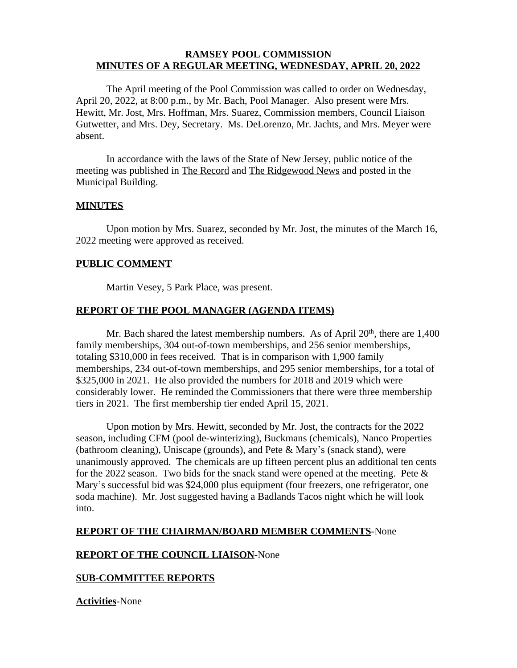### **RAMSEY POOL COMMISSION MINUTES OF A REGULAR MEETING, WEDNESDAY, APRIL 20, 2022**

The April meeting of the Pool Commission was called to order on Wednesday, April 20, 2022, at 8:00 p.m., by Mr. Bach, Pool Manager. Also present were Mrs. Hewitt, Mr. Jost, Mrs. Hoffman, Mrs. Suarez, Commission members, Council Liaison Gutwetter, and Mrs. Dey, Secretary. Ms. DeLorenzo, Mr. Jachts, and Mrs. Meyer were absent.

In accordance with the laws of the State of New Jersey, public notice of the meeting was published in The Record and The Ridgewood News and posted in the Municipal Building.

#### **MINUTES**

Upon motion by Mrs. Suarez, seconded by Mr. Jost, the minutes of the March 16, 2022 meeting were approved as received.

#### **PUBLIC COMMENT**

Martin Vesey, 5 Park Place, was present.

# **REPORT OF THE POOL MANAGER (AGENDA ITEMS)**

Mr. Bach shared the latest membership numbers. As of April 20<sup>th</sup>, there are 1,400 family memberships, 304 out-of-town memberships, and 256 senior memberships, totaling \$310,000 in fees received. That is in comparison with 1,900 family memberships, 234 out-of-town memberships, and 295 senior memberships, for a total of \$325,000 in 2021. He also provided the numbers for 2018 and 2019 which were considerably lower. He reminded the Commissioners that there were three membership tiers in 2021. The first membership tier ended April 15, 2021.

Upon motion by Mrs. Hewitt, seconded by Mr. Jost, the contracts for the 2022 season, including CFM (pool de-winterizing), Buckmans (chemicals), Nanco Properties (bathroom cleaning), Uniscape (grounds), and Pete & Mary's (snack stand), were unanimously approved. The chemicals are up fifteen percent plus an additional ten cents for the 2022 season. Two bids for the snack stand were opened at the meeting. Pete  $\&$ Mary's successful bid was \$24,000 plus equipment (four freezers, one refrigerator, one soda machine). Mr. Jost suggested having a Badlands Tacos night which he will look into.

#### **REPORT OF THE CHAIRMAN/BOARD MEMBER COMMENTS**-None

# **REPORT OF THE COUNCIL LIAISON**-None

# **SUB-COMMITTEE REPORTS**

**Activities**-None